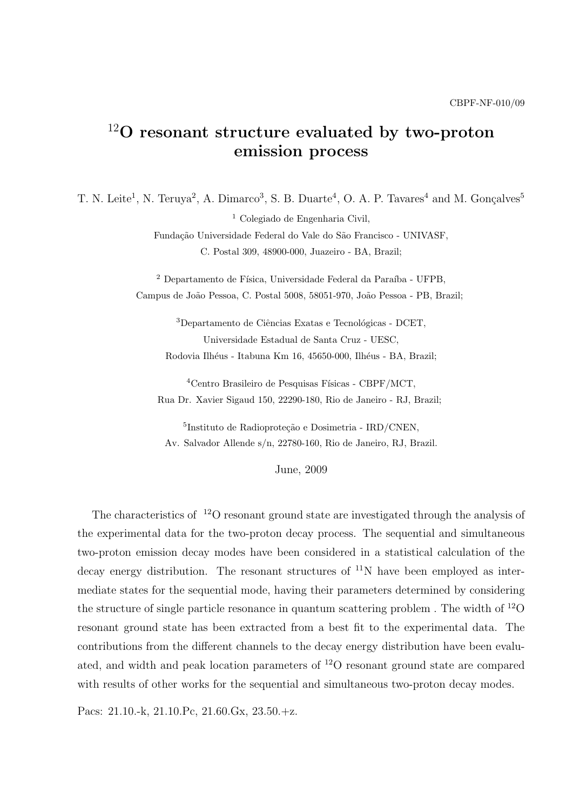# <sup>12</sup>O resonant structure evaluated by two-proton emission process

T. N. Leite<sup>1</sup>, N. Teruya<sup>2</sup>, A. Dimarco<sup>3</sup>, S. B. Duarte<sup>4</sup>, O. A. P. Tavares<sup>4</sup> and M. Gonçalves<sup>5</sup>

<sup>1</sup> Colegiado de Engenharia Civil,

Fundação Universidade Federal do Vale do São Francisco - UNIVASF, C. Postal 309, 48900-000, Juazeiro - BA, Brazil;

 $2$  Departamento de Física, Universidade Federal da Paraíba - UFPB, Campus de João Pessoa, C. Postal 5008, 58051-970, João Pessoa - PB, Brazil:

 $3$ Departamento de Ciências Exatas e Tecnológicas - DCET, Universidade Estadual de Santa Cruz - UESC, Rodovia Ilhéus - Itabuna Km 16, 45650-000, Ilhéus - BA, Brazil;

 $4$ Centro Brasileiro de Pesquisas Físicas - CBPF/MCT, Rua Dr. Xavier Sigaud 150, 22290-180, Rio de Janeiro - RJ, Brazil;

<sup>5</sup>Instituto de Radioproteção e Dosimetria - IRD/CNEN, Av. Salvador Allende s/n, 22780-160, Rio de Janeiro, RJ, Brazil.

June, 2009

The characteristics of  $12^{\circ}$  resonant ground state are investigated through the analysis of the experimental data for the two-proton decay process. The sequential and simultaneous two-proton emission decay modes have been considered in a statistical calculation of the decay energy distribution. The resonant structures of  $^{11}N$  have been employed as intermediate states for the sequential mode, having their parameters determined by considering the structure of single particle resonance in quantum scattering problem . The width of <sup>12</sup>O resonant ground state has been extracted from a best fit to the experimental data. The contributions from the different channels to the decay energy distribution have been evaluated, and width and peak location parameters of <sup>12</sup>O resonant ground state are compared with results of other works for the sequential and simultaneous two-proton decay modes.

Pacs: 21.10.-k, 21.10.Pc, 21.60.Gx, 23.50.+z.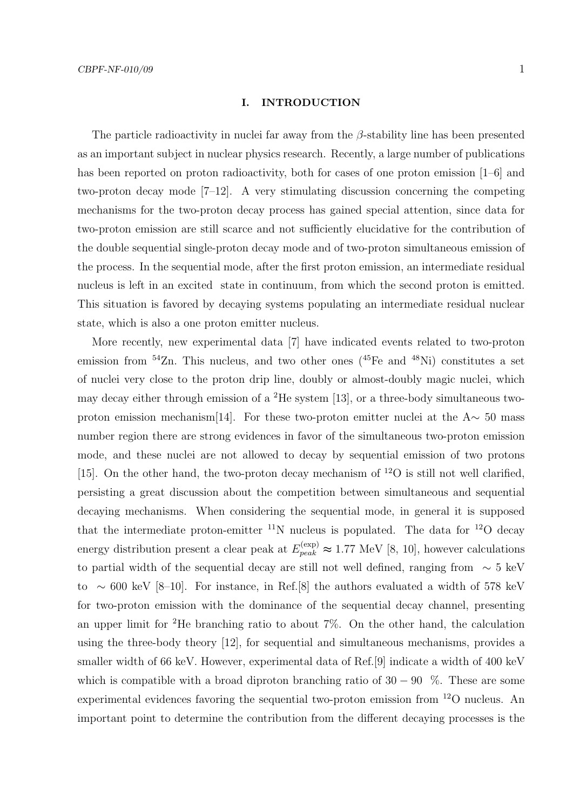#### I. INTRODUCTION

The particle radioactivity in nuclei far away from the  $\beta$ -stability line has been presented as an important subject in nuclear physics research. Recently, a large number of publications has been reported on proton radioactivity, both for cases of one proton emission [1–6] and two-proton decay mode [7–12]. A very stimulating discussion concerning the competing mechanisms for the two-proton decay process has gained special attention, since data for two-proton emission are still scarce and not sufficiently elucidative for the contribution of the double sequential single-proton decay mode and of two-proton simultaneous emission of the process. In the sequential mode, after the first proton emission, an intermediate residual nucleus is left in an excited state in continuum, from which the second proton is emitted. This situation is favored by decaying systems populating an intermediate residual nuclear state, which is also a one proton emitter nucleus.

More recently, new experimental data [7] have indicated events related to two-proton emission from  $54\text{Zn}$ . This nucleus, and two other ones  $(^{45}\text{Fe}$  and  $^{48}\text{Ni})$  constitutes a set of nuclei very close to the proton drip line, doubly or almost-doubly magic nuclei, which may decay either through emission of a <sup>2</sup>He system [13], or a three-body simultaneous twoproton emission mechanism[14]. For these two-proton emitter nuclei at the  $A \sim 50$  mass number region there are strong evidences in favor of the simultaneous two-proton emission mode, and these nuclei are not allowed to decay by sequential emission of two protons [15]. On the other hand, the two-proton decay mechanism of  $^{12}O$  is still not well clarified, persisting a great discussion about the competition between simultaneous and sequential decaying mechanisms. When considering the sequential mode, in general it is supposed that the intermediate proton-emitter  $^{11}N$  nucleus is populated. The data for  $^{12}O$  decay energy distribution present a clear peak at  $E_{peak}^{(\exp)} \approx 1.77$  MeV [8, 10], however calculations to partial width of the sequential decay are still not well defined, ranging from ∼ 5 keV to ~ 600 keV [8–10]. For instance, in Ref.[8] the authors evaluated a width of 578 keV for two-proton emission with the dominance of the sequential decay channel, presenting an upper limit for <sup>2</sup>He branching ratio to about  $7\%$ . On the other hand, the calculation using the three-body theory [12], for sequential and simultaneous mechanisms, provides a smaller width of 66 keV. However, experimental data of Ref.[9] indicate a width of 400 keV which is compatible with a broad diproton branching ratio of  $30 - 90$  %. These are some experimental evidences favoring the sequential two-proton emission from <sup>12</sup>O nucleus. An important point to determine the contribution from the different decaying processes is the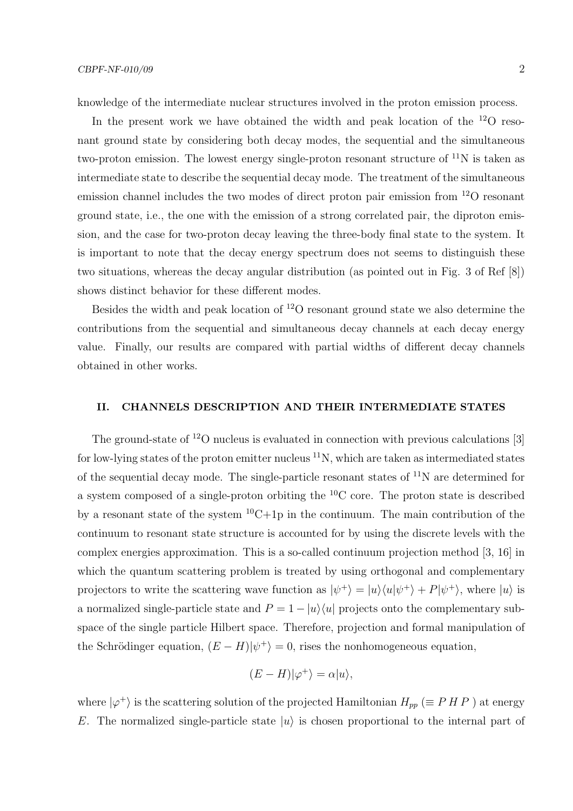In the present work we have obtained the width and peak location of the  $^{12}O$  resonant ground state by considering both decay modes, the sequential and the simultaneous two-proton emission. The lowest energy single-proton resonant structure of  $^{11}N$  is taken as intermediate state to describe the sequential decay mode. The treatment of the simultaneous emission channel includes the two modes of direct proton pair emission from <sup>12</sup>O resonant ground state, i.e., the one with the emission of a strong correlated pair, the diproton emission, and the case for two-proton decay leaving the three-body final state to the system. It is important to note that the decay energy spectrum does not seems to distinguish these two situations, whereas the decay angular distribution (as pointed out in Fig. 3 of Ref [8]) shows distinct behavior for these different modes.

Besides the width and peak location of <sup>12</sup>O resonant ground state we also determine the contributions from the sequential and simultaneous decay channels at each decay energy value. Finally, our results are compared with partial widths of different decay channels obtained in other works.

## II. CHANNELS DESCRIPTION AND THEIR INTERMEDIATE STATES

The ground-state of  $12^{\circ}$  nucleus is evaluated in connection with previous calculations [3] for low-lying states of the proton emitter nucleus  $^{11}N$ , which are taken as intermediated states of the sequential decay mode. The single-particle resonant states of  $^{11}N$  are determined for a system composed of a single-proton orbiting the <sup>10</sup>C core. The proton state is described by a resonant state of the system  ${}^{10}C+1p$  in the continuum. The main contribution of the continuum to resonant state structure is accounted for by using the discrete levels with the complex energies approximation. This is a so-called continuum projection method [3, 16] in which the quantum scattering problem is treated by using orthogonal and complementary projectors to write the scattering wave function as  $|\psi^+\rangle = |u\rangle\langle u|\psi^+\rangle + P|\psi^+\rangle$ , where  $|u\rangle$  is a normalized single-particle state and  $P = 1 - |u\rangle\langle u|$  projects onto the complementary subspace of the single particle Hilbert space. Therefore, projection and formal manipulation of the Schrödinger equation,  $(E - H)|\psi^{+}\rangle = 0$ , rises the nonhomogeneous equation,

$$
(E - H)|\varphi^{+}\rangle = \alpha|u\rangle,
$$

where  $|\varphi^+\rangle$  is the scattering solution of the projected Hamiltonian  $H_{pp} \ (\equiv P H P)$  at energy E. The normalized single-particle state  $|u\rangle$  is chosen proportional to the internal part of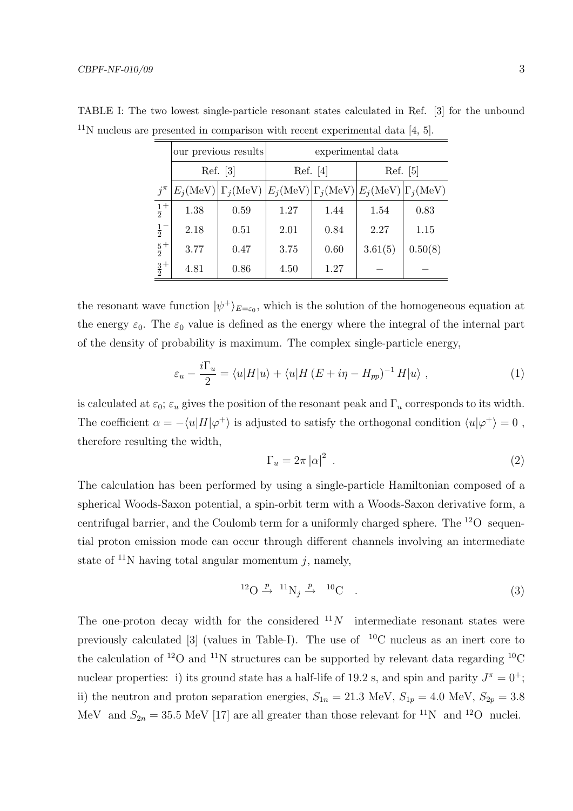|             | our previous results |                                                                                                                  | experimental data |      |          |         |
|-------------|----------------------|------------------------------------------------------------------------------------------------------------------|-------------------|------|----------|---------|
|             | Ref. [3]             |                                                                                                                  | Ref. [4]          |      | Ref. [5] |         |
| $j^{\pi}$   |                      | $E_i(\text{MeV}) \Gamma_i(\text{MeV}) E_i(\text{MeV}) \Gamma_i(\text{MeV}) E_i(\text{MeV}) \Gamma_i(\text{MeV})$ |                   |      |          |         |
| $rac{1}{2}$ | 1.38                 | 0.59                                                                                                             | 1.27              | 1.44 | 1.54     | 0.83    |
| $rac{1}{2}$ | 2.18                 | 0.51                                                                                                             | 2.01              | 0.84 | 2.27     | 1.15    |
| $rac{5}{2}$ | 3.77                 | 0.47                                                                                                             | 3.75              | 0.60 | 3.61(5)  | 0.50(8) |
| $rac{3}{2}$ | 4.81                 | 0.86                                                                                                             | 4.50              | 1.27 |          |         |

TABLE I: The two lowest single-particle resonant states calculated in Ref. [3] for the unbound  $11$ N nucleus are presented in comparison with recent experimental data [4, 5].

the resonant wave function  $|\psi^+\rangle_{E=\varepsilon_0}$ , which is the solution of the homogeneous equation at the energy  $\varepsilon_0$ . The  $\varepsilon_0$  value is defined as the energy where the integral of the internal part of the density of probability is maximum. The complex single-particle energy,

$$
\varepsilon_u - \frac{i\Gamma_u}{2} = \langle u|H|u\rangle + \langle u|H(E+i\eta - H_{pp})^{-1}H|u\rangle , \qquad (1)
$$

is calculated at  $\varepsilon_0$ ;  $\varepsilon_u$  gives the position of the resonant peak and  $\Gamma_u$  corresponds to its width. The coefficient  $\alpha = -\langle u|H|\varphi^+\rangle$  is adjusted to satisfy the orthogonal condition  $\langle u|\varphi^+\rangle = 0$ , therefore resulting the width,

$$
\Gamma_u = 2\pi |\alpha|^2 \tag{2}
$$

The calculation has been performed by using a single-particle Hamiltonian composed of a spherical Woods-Saxon potential, a spin-orbit term with a Woods-Saxon derivative form, a centrifugal barrier, and the Coulomb term for a uniformly charged sphere. The  $^{12}O$  sequential proton emission mode can occur through different channels involving an intermediate state of  $^{11}N$  having total angular momentum j, namely,

$$
{}^{12}\text{O} \xrightarrow{p} {}^{11}\text{N}_j \xrightarrow{p} {}^{10}\text{C} \tag{3}
$$

The one-proton decay width for the considered  $11N$  intermediate resonant states were previously calculated [3] (values in Table-I). The use of  $^{10}$ C nucleus as an inert core to the calculation of <sup>12</sup>O and <sup>11</sup>N structures can be supported by relevant data regarding <sup>10</sup>C nuclear properties: i) its ground state has a half-life of 19.2 s, and spin and parity  $J^{\pi} = 0^{+}$ ; ii) the neutron and proton separation energies,  $S_{1n} = 21.3 \text{ MeV}$ ,  $S_{1p} = 4.0 \text{ MeV}$ ,  $S_{2p} = 3.8 \text{ MeV}$ MeV and  $S_{2n} = 35.5 \text{ MeV } [17]$  are all greater than those relevant for <sup>11</sup>N and <sup>12</sup>O nuclei.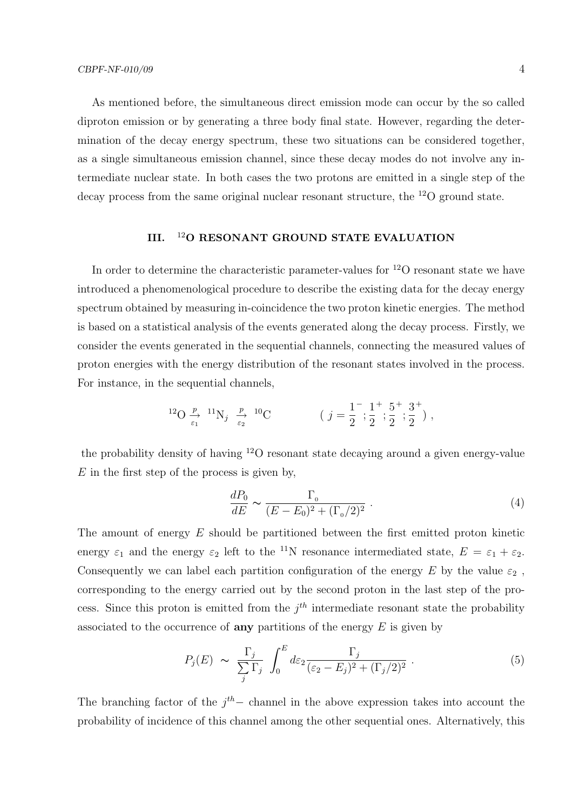As mentioned before, the simultaneous direct emission mode can occur by the so called diproton emission or by generating a three body final state. However, regarding the determination of the decay energy spectrum, these two situations can be considered together, as a single simultaneous emission channel, since these decay modes do not involve any intermediate nuclear state. In both cases the two protons are emitted in a single step of the decay process from the same original nuclear resonant structure, the  $^{12}O$  ground state.

# III. <sup>12</sup>O RESONANT GROUND STATE EVALUATION

In order to determine the characteristic parameter-values for <sup>12</sup>O resonant state we have introduced a phenomenological procedure to describe the existing data for the decay energy spectrum obtained by measuring in-coincidence the two proton kinetic energies. The method is based on a statistical analysis of the events generated along the decay process. Firstly, we consider the events generated in the sequential channels, connecting the measured values of proton energies with the energy distribution of the resonant states involved in the process. For instance, in the sequential channels,

$$
{}^{12}\text{O} \xrightarrow[\varepsilon_1]{p} {}^{11}\text{N}_j \xrightarrow[\varepsilon_2]{p} {}^{10}\text{C}
$$
  $(j = \frac{1}{2}^{-}; \frac{1}{2}^{+}; \frac{5}{2}^{+}; \frac{3}{2}^{+}),$ 

the probability density of having <sup>12</sup>O resonant state decaying around a given energy-value  $E$  in the first step of the process is given by,

$$
\frac{dP_0}{dE} \sim \frac{\Gamma_0}{(E - E_0)^2 + (\Gamma_0/2)^2} \ . \tag{4}
$$

The amount of energy E should be partitioned between the first emitted proton kinetic energy  $\varepsilon_1$  and the energy  $\varepsilon_2$  left to the <sup>11</sup>N resonance intermediated state,  $E = \varepsilon_1 + \varepsilon_2$ . Consequently we can label each partition configuration of the energy E by the value  $\varepsilon_2$ , corresponding to the energy carried out by the second proton in the last step of the process. Since this proton is emitted from the  $j<sup>th</sup>$  intermediate resonant state the probability associated to the occurrence of **any** partitions of the energy  $E$  is given by

$$
P_j(E) \sim \frac{\Gamma_j}{\sum_j \Gamma_j} \int_0^E d\varepsilon_2 \frac{\Gamma_j}{(\varepsilon_2 - E_j)^2 + (\Gamma_j/2)^2} \,. \tag{5}
$$

The branching factor of the  $j<sup>th</sup>$  - channel in the above expression takes into account the probability of incidence of this channel among the other sequential ones. Alternatively, this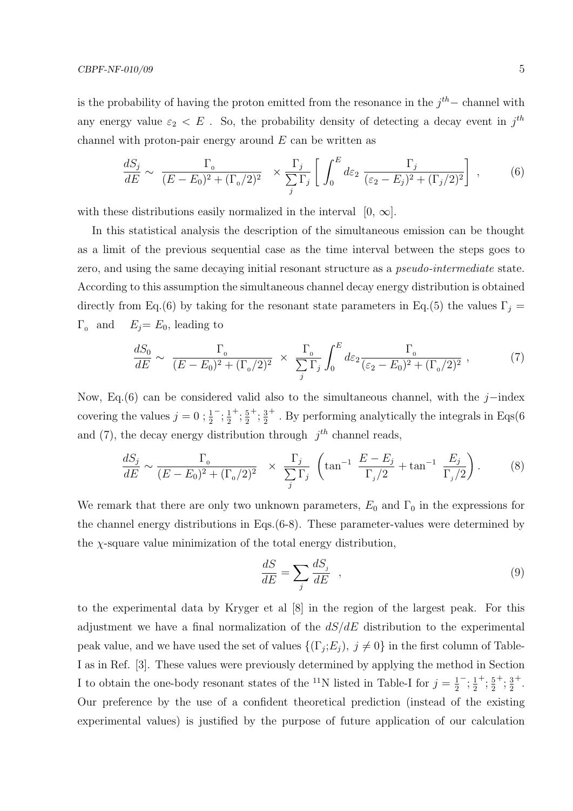is the probability of having the proton emitted from the resonance in the  $j<sup>th</sup>$  - channel with any energy value  $\varepsilon_2 < E$ . So, the probability density of detecting a decay event in  $j<sup>th</sup>$ channel with proton-pair energy around  $E$  can be written as

$$
\frac{dS_j}{dE} \sim \frac{\Gamma_0}{(E - E_0)^2 + (\Gamma_0/2)^2} \times \frac{\Gamma_j}{\sum_j \Gamma_j} \left[ \int_0^E d\varepsilon_2 \frac{\Gamma_j}{(\varepsilon_2 - E_j)^2 + (\Gamma_j/2)^2} \right],
$$
 (6)

with these distributions easily normalized in the interval  $[0, \infty]$ .

In this statistical analysis the description of the simultaneous emission can be thought as a limit of the previous sequential case as the time interval between the steps goes to zero, and using the same decaying initial resonant structure as a *pseudo-intermediate* state. According to this assumption the simultaneous channel decay energy distribution is obtained directly from Eq.(6) by taking for the resonant state parameters in Eq.(5) the values  $\Gamma_i$  =  $\Gamma_0$  and  $E_j=E_0$ , leading to

$$
\frac{dS_0}{dE} \sim \frac{\Gamma_0}{(E - E_0)^2 + (\Gamma_0/2)^2} \times \frac{\Gamma_0}{\sum_j \Gamma_j} \int_0^E d\varepsilon_2 \frac{\Gamma_0}{(\varepsilon_2 - E_0)^2 + (\Gamma_0/2)^2} ,\qquad (7)
$$

Now, Eq.(6) can be considered valid also to the simultaneous channel, with the j–index covering the values  $j = 0; \frac{1}{2}$  $^{-}$ ;  $\frac{1}{2}$ 2  $^+$ ;  $\frac{5}{2}$ 2  $^+$ ;  $\frac{3}{2}$ 2 <sup>+</sup>. By performing analytically the integrals in Eqs(6) and (7), the decay energy distribution through  $j<sup>th</sup>$  channel reads,

$$
\frac{dS_j}{dE} \sim \frac{\Gamma_0}{(E - E_0)^2 + (\Gamma_0/2)^2} \times \frac{\Gamma_j}{\sum_j \Gamma_j} \left( \tan^{-1} \frac{E - E_j}{\Gamma_j/2} + \tan^{-1} \frac{E_j}{\Gamma_j/2} \right). \tag{8}
$$

We remark that there are only two unknown parameters,  $E_0$  and  $\Gamma_0$  in the expressions for the channel energy distributions in Eqs.(6-8). These parameter-values were determined by the  $\gamma$ -square value minimization of the total energy distribution.

$$
\frac{dS}{dE} = \sum_{j} \frac{dS_j}{dE} \quad , \tag{9}
$$

to the experimental data by Kryger et al [8] in the region of the largest peak. For this adjustment we have a final normalization of the  $dS/dE$  distribution to the experimental peak value, and we have used the set of values  $\{(\Gamma_j; E_j), j \neq 0\}$  in the first column of Table-I as in Ref. [3]. These values were previously determined by applying the method in Section I to obtain the one-body resonant states of the <sup>11</sup>N listed in Table-I for  $j=\frac{1}{2}$ 2  $^{-}$ ;  $\frac{1}{2}$ 2  $^{+}$ ;  $\frac{5}{2}$ 2  $^+$ ;  $\frac{3}{2}$ 2 + . Our preference by the use of a confident theoretical prediction (instead of the existing experimental values) is justified by the purpose of future application of our calculation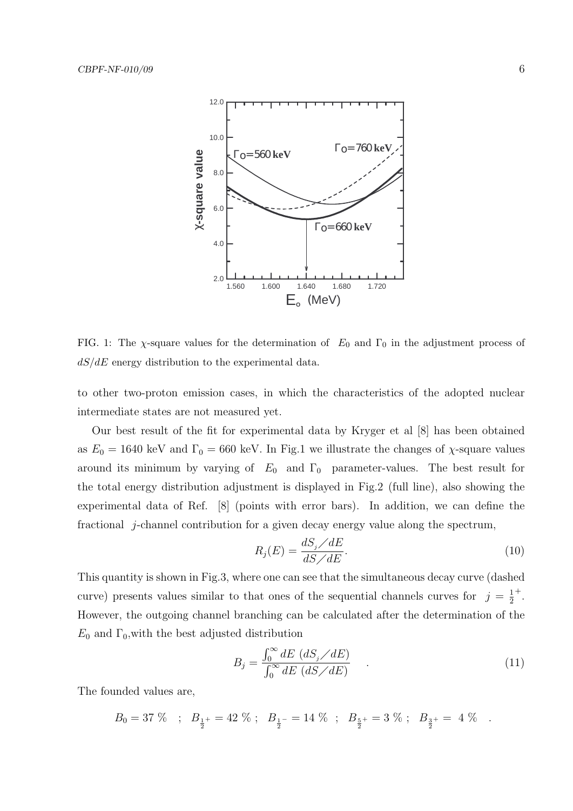

FIG. 1: The  $\chi$ -square values for the determination of  $E_0$  and  $\Gamma_0$  in the adjustment process of  $dS/dE$  energy distribution to the experimental data.

to other two-proton emission cases, in which the characteristics of the adopted nuclear intermediate states are not measured yet.

Our best result of the fit for experimental data by Kryger et al [8] has been obtained as  $E_0 = 1640 \text{ keV}$  and  $\Gamma_0 = 660 \text{ keV}$ . In Fig.1 we illustrate the changes of  $\chi$ -square values around its minimum by varying of  $E_0$  and  $\Gamma_0$  parameter-values. The best result for the total energy distribution adjustment is displayed in Fig.2 (full line), also showing the experimental data of Ref. [8] (points with error bars). In addition, we can define the fractional j-channel contribution for a given decay energy value along the spectrum,

$$
R_j(E) = \frac{dS_j/dE}{dS/dE}.\tag{10}
$$

This quantity is shown in Fig.3, where one can see that the simultaneous decay curve (dashed curve) presents values similar to that ones of the sequential channels curves for  $j = \frac{1}{2}$ 2 + . However, the outgoing channel branching can be calculated after the determination of the  $E_0$  and  $\Gamma_0$ , with the best adjusted distribution

$$
B_j = \frac{\int_0^\infty dE \, (dS_j/dE)}{\int_0^\infty dE \, (dS/dE)} \qquad . \tag{11}
$$

The founded values are,

$$
B_0 = 37~\% \quad ; \quad B_{\frac{1}{2}^+} = 42~\% \; ; \quad B_{\frac{1}{2}^-} = 14~\% \quad ; \quad B_{\frac{5}{2}^+} = 3~\% \; ; \quad B_{\frac{3}{2}^+} = ~4~\% \quad .
$$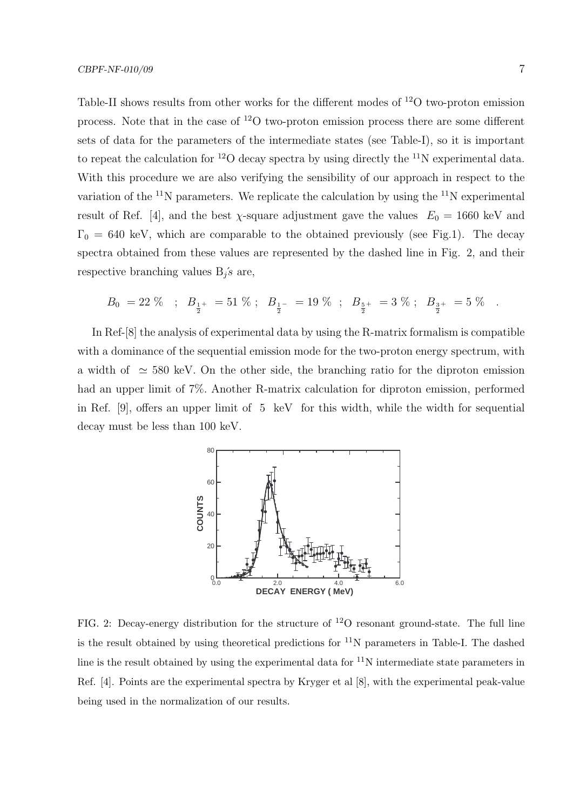Table-II shows results from other works for the different modes of <sup>12</sup>O two-proton emission process. Note that in the case of <sup>12</sup>O two-proton emission process there are some different sets of data for the parameters of the intermediate states (see Table-I), so it is important to repeat the calculation for <sup>12</sup>O decay spectra by using directly the <sup>11</sup>N experimental data. With this procedure we are also verifying the sensibility of our approach in respect to the variation of the  $^{11}N$  parameters. We replicate the calculation by using the  $^{11}N$  experimental result of Ref. [4], and the best  $\chi$ -square adjustment gave the values  $E_0 = 1660 \text{ keV}$  and  $\Gamma_0 = 640 \text{ keV}$ , which are comparable to the obtained previously (see Fig.1). The decay spectra obtained from these values are represented by the dashed line in Fig. 2, and their respective branching values  $B_i$ 's are,

$$
B_0 \ = 22\ \%\quad ; \quad B_{\frac{1}{2}^+} \ = 51\ \%\ ; \quad B_{\frac{1}{2}^-} \ = 19\ \%\quad ; \quad B_{\frac{5}{2}^+} \ = 3\ \%\ ; \quad B_{\frac{3}{2}^+} \ = 5\ \%\quad .
$$

In Ref-[8] the analysis of experimental data by using the R-matrix formalism is compatible with a dominance of the sequential emission mode for the two-proton energy spectrum, with a width of  $\approx$  580 keV. On the other side, the branching ratio for the diproton emission had an upper limit of 7%. Another R-matrix calculation for diproton emission, performed in Ref. [9], offers an upper limit of 5 keV for this width, while the width for sequential decay must be less than 100 keV.



FIG. 2: Decay-energy distribution for the structure of  $^{12}O$  resonant ground-state. The full line is the result obtained by using theoretical predictions for  $11<sup>N</sup>$  parameters in Table-I. The dashed line is the result obtained by using the experimental data for  $11N$  intermediate state parameters in Ref. [4]. Points are the experimental spectra by Kryger et al [8], with the experimental peak-value being used in the normalization of our results.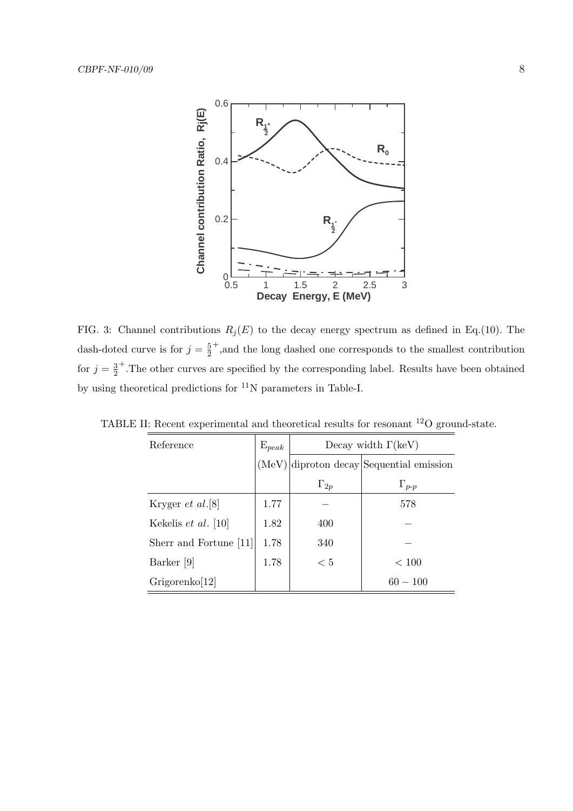

FIG. 3: Channel contributions  $R_j(E)$  to the decay energy spectrum as defined in Eq.(10). The dash-doted curve is for  $j=\frac{5}{2}$  $\overline{2}$ + ,and the long dashed one corresponds to the smallest contribution for  $j=\frac{3}{2}$  $\overline{2}$ + .The other curves are specified by the corresponding label. Results have been obtained by using theoretical predictions for  $^{11}{\rm N}$  parameters in Table-I.

| Reference                  | $\mathrm{E}_{peak}$ | Decay width $\Gamma(\text{keV})$ |                                    |  |
|----------------------------|---------------------|----------------------------------|------------------------------------|--|
|                            | (MeV)               |                                  | diproton decay Sequential emission |  |
|                            |                     | $\Gamma_{2p}$                    | $\Gamma_{p-p}$                     |  |
| Kryger <i>et al.</i> [8]   | 1.77                |                                  | 578                                |  |
| Kekelis <i>et al.</i> [10] | 1.82                | 400                              |                                    |  |
| Sherr and Fortune [11]     | 1.78                | 340                              |                                    |  |
| Barker [9]                 | 1.78                | < 5                              | < 100                              |  |
| Grigorenko[12]             |                     |                                  | $60 - 100$                         |  |

TABLE II: Recent experimental and theoretical results for resonant <sup>12</sup>O ground-state.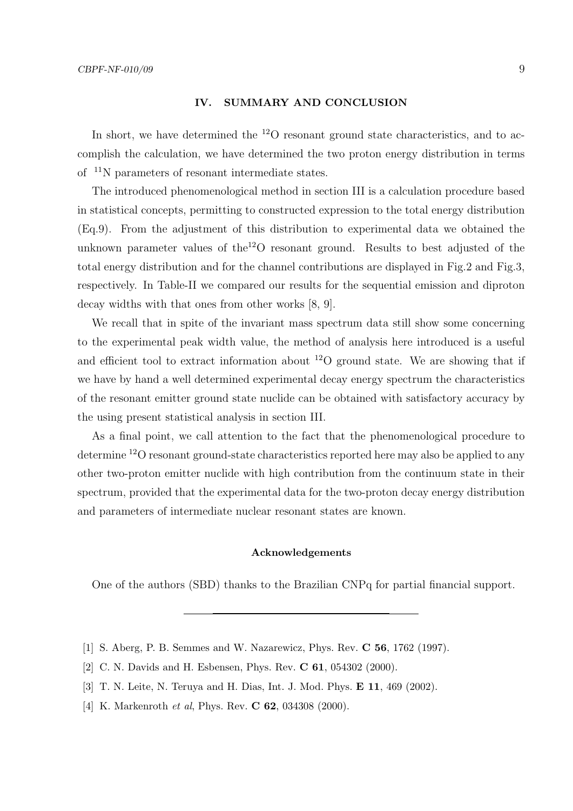### IV. SUMMARY AND CONCLUSION

In short, we have determined the  $^{12}O$  resonant ground state characteristics, and to accomplish the calculation, we have determined the two proton energy distribution in terms of <sup>11</sup>N parameters of resonant intermediate states.

The introduced phenomenological method in section III is a calculation procedure based in statistical concepts, permitting to constructed expression to the total energy distribution (Eq.9). From the adjustment of this distribution to experimental data we obtained the unknown parameter values of the<sup>12</sup>O resonant ground. Results to best adjusted of the total energy distribution and for the channel contributions are displayed in Fig.2 and Fig.3, respectively. In Table-II we compared our results for the sequential emission and diproton decay widths with that ones from other works [8, 9].

We recall that in spite of the invariant mass spectrum data still show some concerning to the experimental peak width value, the method of analysis here introduced is a useful and efficient tool to extract information about  $^{12}O$  ground state. We are showing that if we have by hand a well determined experimental decay energy spectrum the characteristics of the resonant emitter ground state nuclide can be obtained with satisfactory accuracy by the using present statistical analysis in section III.

As a final point, we call attention to the fact that the phenomenological procedure to determine <sup>12</sup>O resonant ground-state characteristics reported here may also be applied to any other two-proton emitter nuclide with high contribution from the continuum state in their spectrum, provided that the experimental data for the two-proton decay energy distribution and parameters of intermediate nuclear resonant states are known.

## Acknowledgements

One of the authors (SBD) thanks to the Brazilian CNPq for partial financial support.

- [1] S. Aberg, P. B. Semmes and W. Nazarewicz, Phys. Rev. C 56, 1762 (1997).
- [2] C. N. Davids and H. Esbensen, Phys. Rev. C 61, 054302 (2000).
- [3] T. N. Leite, N. Teruya and H. Dias, Int. J. Mod. Phys. E 11, 469 (2002).
- [4] K. Markenroth *et al*, Phys. Rev. **C 62**, 034308 (2000).